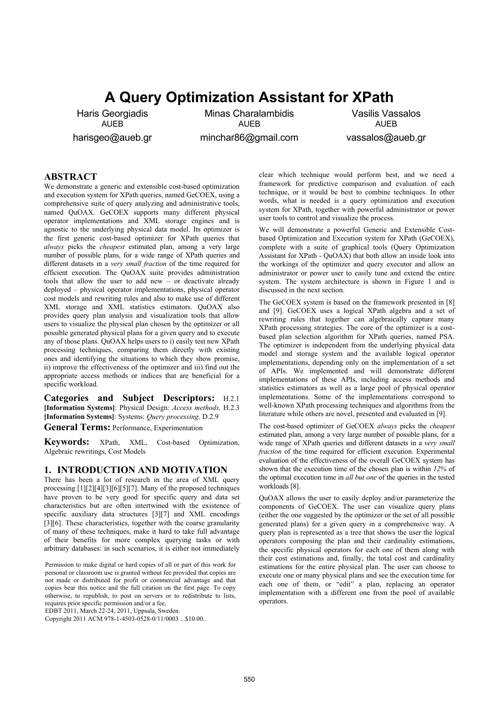# **A Query Optimization Assistant for XPath**

Haris Georgiadis AUEB harisgeo@aueb.gr

Minas Charalambidis AUEB minchar86@gmail.com

Vasilis Vassalos AUEB vassalos@aueb.gr

## **ABSTRACT**

We demonstrate a generic and extensible cost-based optimization and execution system for XPath queries, named GeCOEX, using a comprehensive suite of query analyzing and administrative tools, named QuOAX. GeCOEX supports many different physical operator implementations and XML storage engines and is agnostic to the underlying physical data model. Its optimizer is the first generic cost-based optimizer for XPath queries that *always* picks the *cheapest* estimated plan, among a very large number of possible plans, for a wide range of XPath queries and different datasets in a *very small fraction* of the time required for efficient execution. The QuOAX suite provides administration tools that allow the user to add new – or deactivate already deployed – physical operator implementations, physical operator cost models and rewriting rules and also to make use of different XML storage and XML statistics estimators. QuOAX also provides query plan analysis and visualization tools that allow users to visualize the physical plan chosen by the optimizer or all possible generated physical plans for a given query and to execute any of those plans. QuOAX helps users to i) easily test new XPath processing techniques, comparing them directly with existing ones and identifying the situations to which they show promise, ii) improve the effectiveness of the optimizer and iii) find out the appropriate access methods or indices that are beneficial for a specific workload.

**Categories and Subject Descriptors:** H.2.1 **[Information Systems]**: Physical Design: *Access methods,* H.2.3 **[Information Systems]**: Systems: *Query processing,* D.2.9 **General Terms:** Performance, Experimentation

**Keywords:** XPath, XML, Cost-based Optimization, Algebraic rewritings, Cost Models

#### **1. INTRODUCTION AND MOTIVATION**

There has been a lot of research in the area of XML query processing [1][2][4][3][6][5][7]. Many of the proposed techniques have proven to be very good for specific query and data set characteristics but are often intertwined with the existence of specific auxiliary data structures [3][7] and XML encodings [3][6]. These characteristics, together with the coarse granularity of many of these techniques, make it hard to take full advantage of their benefits for more complex querying tasks or with arbitrary databases: in such scenarios, it is either not immediately

Permission to make digital or hard copies of all or part of this work for personal or classroom use is granted without fee provided that copies are not made or distributed for profit or commercial advantage and that copies bear this notice and the full citation on the first page. To copy otherwise, to republish, to post on servers or to redistribute to lists, requires prior specific permission and/or a fee.

EDBT 2011, March 22-24, 2011, Uppsala, Sweden.

Copyright 2011 ACM 978-1-4503-0528-0/11/0003 ...\$10.00..

clear which technique would perform best, and we need a framework for predictive comparison and evaluation of each technique, or it would be best to combine techniques. In other words, what is needed is a query optimization and execution system for XPath, together with powerful administrator or power user tools to control and visualize the process.

We will demonstrate a powerful Generic and Extensible Costbased Optimization and Execution system for XPath (GeCOEX), complete with a suite of graphical tools (Query Optimization Assistant for XPath - QuOAX) that both allow an inside look into the workings of the optimizer and query executor and allow an administrator or power user to easily tune and extend the entire system. The system architecture is shown in Figure 1 and is discussed in the next section.

The GeCOEX system is based on the framework presented in [8] and [9]. GeCOEX uses a logical XPath algebra and a set of rewriting rules that together can algebraically capture many XPath processing strategies. The core of the optimizer is a costbased plan selection algorithm for XPath queries, named PSA. The optimizer is independent from the underlying physical data model and storage system and the available logical operator implementations, depending only on the implementation of a set of APIs. We implemented and will demonstrate different implementations of these APIs, including access methods and statistics estimators as well as a large pool of physical operator implementations. Some of the implementations correspond to well-known XPath processing techniques and algorithms from the literature while others are novel, presented and evaluated in [9].

The cost-based optimizer of GeCOEX *always* picks the *cheapest* estimated plan, among a very large number of possible plans, for a wide range of XPath queries and different datasets in a *very small fraction* of the time required for efficient execution. Experimental evaluation of the effectiveness of the overall GeCOEX system has shown that the execution time of the chosen plan is within *12%* of the optimal execution time in *all but one* of the queries in the tested workloads [8].

QuOAX allows the user to easily deploy and/or parameterize the components of GeCOEX. The user can visualize query plans (either the one suggested by the optimizer or the set of all possible generated plans) for a given query in a comprehensive way. A query plan is represented as a tree that shows the user the logical operators composing the plan and their cardinality estimations, the specific physical operators for each one of them along with their cost estimations and, finally, the total cost and cardinality estimations for the entire physical plan. The user can choose to execute one or many physical plans and see the execution time for each one of them, or "edit" a plan, replacing an operator implementation with a different one from the pool of available operators.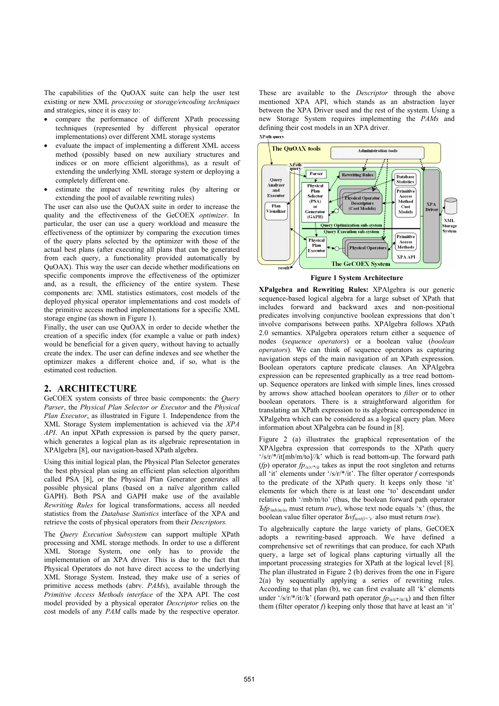The capabilities of the QuOAX suite can help the user test existing or new XML *processing* or *storage/encoding techniques* and strategies, since it is easy to:

- compare the performance of different XPath processing techniques (represented by different physical operator implementations) over different XML storage systems
- evaluate the impact of implementing a different XML access method (possibly based on new auxiliary structures and indices or on more efficient algorithms), as a result of extending the underlying XML storage system or deploying a completely different one.
- estimate the impact of rewriting rules (by altering or extending the pool of available rewriting rules)

The user can also use the QuOAX suite in order to increase the quality and the effectiveness of the GeCOEX *optimizer*. In particular, the user can use a query workload and measure the effectiveness of the optimizer by comparing the execution times of the query plans selected by the optimizer with those of the actual best plans (after executing all plans that can be generated from each query, a functionality provided automatically by QuOAX). This way the user can decide whether modifications on specific components improve the effectiveness of the optimizer and, as a result, the efficiency of the entire system. These components are: XML statistics estimators, cost models of the deployed physical operator implementations and cost models of the primitive access method implementations for a specific XML storage engine (as shown in Figure 1).

Finally, the user can use QuOAX in order to decide whether the creation of a specific index (for example a value or path index) would be beneficial for a given query, without having to actually create the index. The user can define indexes and see whether the optimizer makes a different choice and, if so, what is the estimated cost reduction.

## **2. ARCHITECTURE**

GeCOEX system consists of three basic components: the *Query Parser*, the *Physical Plan Selector or Executor* and the *Physical Plan Executor*, as illustrated in Figure 1*.* Independence from the XML Storage System implementation is achieved via the *XPA API*. An input XPath expression is parsed by the query parser, which generates a logical plan as its algebraic representation in XPAlgebra [8], our navigation-based XPath algebra.

Using this initial logical plan, the Physical Plan Selector generates the best physical plan using an efficient plan selection algorithm called PSA [8], or the Physical Plan Generator generates all possible physical plans (based on a naïve algorithm called GAPH). Both PSA and GAPH make use of the available *Rewriting Rules* for logical transformations, access all needed statistics from the *Database Statistics* interface of the XPA and retrieve the costs of physical operators from their *Descriptors.*

The *Query Execution Subsystem* can support multiple XPath processing and XML storage methods. In order to use a different XML Storage System, one only has to provide the implementation of an XPA driver. This is due to the fact that Physical Operators do not have direct access to the underlying XML Storage System. Instead, they make use of a series of primitive access methods (abrv. *PAMs*), available through the *Primitive Access Methods interface* of the XPA API. The cost model provided by a physical operator *Descriptor* relies on the cost models of any *PAM* calls made by the respective operator.

These are available to the *Descriptor* through the above mentioned XPA API, which stands as an abstraction layer between the XPA Driver used and the rest of the system. Using a new Storage System requires implementing the *PAMs* and defining their cost models in an XPA driver. **XPath query** 



**Figure 1 System Architecture** 

**XPalgebra and Rewriting Rules:** XPAlgebra is our generic sequence-based logical algebra for a large subset of XPath that includes forward and backward axes and non-positional predicates involving conjunctive boolean expressions that don't involve comparisons between paths. XPAlgebra follows XPath 2.0 semantics. XPalgebra operators return either a sequence of nodes (*sequence operators*) or a boolean value (*boolean operators*). We can think of sequence operators as capturing navigation steps of the main navigation of an XPath expression. Boolean operators capture predicate clauses. An XPAlgebra expression can be represented graphically as a tree read bottomup. Sequence operators are linked with simple lines, lines crossed by arrows show attached boolean operators to *filter* or to other boolean operators. There is a straightforward algorithm for translating an XPath expression to its algebraic correspondence in XPalgebra which can be considered as a logical query plan. More information about XPalgebra can be found in [8].

Figure 2 (a) illustrates the graphical representation of the XPAlgebra expression that corresponds to the XPath query  $\frac{f}{s}$ '/s/r/\*/it[mb/m/to]//k' which is read bottom-up. The forward path (*fp*) operator  $fp_{\sqrt{x}/r}$ <sub>*it*</sub> takes as input the root singleton and returns all 'it' elements under '/s/r/ $*/it$ '. The filter operator *f* corresponds to the predicate of the XPath query. It keeps only those 'it' elements for which there is at least one 'to' descendant under relative path '/mb/m/to' (thus, the boolean forward path operator *Ъfp/mb/m/to* must return *true*), whose text node equals 'x' (thus, the boolean value filter operator *Ъvf*<sub>text()='x' also must return *true*).</sub>

To algebraically capture the large variety of plans, GeCOEX adopts a rewriting-based approach. We have defined a comprehensive set of rewritings that can produce, for each XPath query, a large set of logical plans capturing virtually all the important processing strategies for XPath at the logical level [8]. The plan illustrated in Figure 2 (b) derives from the one in Figure 2(a) by sequentially applying a series of rewriting rules. According to that plan (b), we can first evaluate all 'k' elements under '/s/r/\*/it//k' (forward path operator  $f_{p_{s/r}/*(i t/k)}$ ) and then filter them (filter operator *f*) keeping only those that have at least an 'it'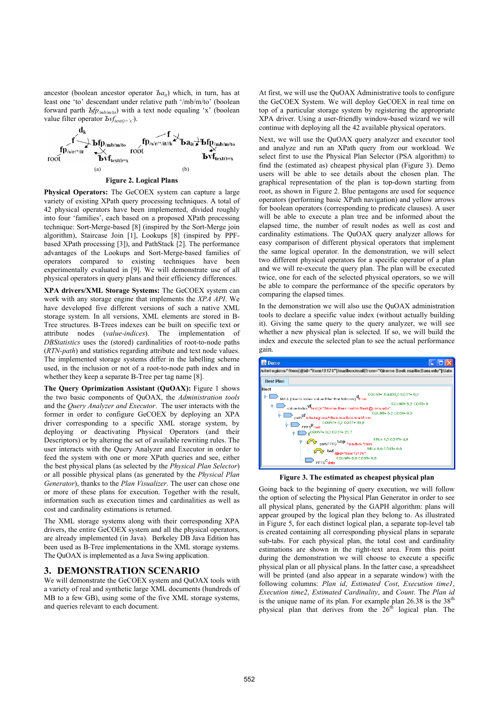ancestor (boolean ancestor operator *Ъа<sub>it</sub>*) which, in turn, has at least one 'to' descendant under relative path '/mb/m/to' (boolean forward parth *Ъfp/mb/m/to*) with a text node equaling 'x' (boolean value filter operator  $\frac{\partial v f_{text(l)}(x,y)}{\partial x}$ .



**Figure 2. Logical Plans** 

**Physical Operators:** The GeCOEX system can capture a large variety of existing XPath query processing techniques. A total of 42 physical operators have been implemented, divided roughly into four 'families', each based on a proposed XPath processing technique: Sort-Merge-based [8] (inspired by the Sort-Merge join algorithm), Staircase Join [1], Lookups [8] (inspired by PPFbased XPath processing [3]), and PathStack [2]. The performance advantages of the Lookups and Sort-Merge-based families of operators compared to existing techniques have been experimentally evaluated in [9]. We will demonstrate use of all physical operators in query plans and their efficiency differences.

**XPA drivers/XML Storage Systems:** The GeCOEX system can work with any storage engine that implements the *XPA API*. We have developed five different versions of such a native XML storage system*.* In all versions, XML elements are stored in B-Tree structures. B-Trees indexes can be built on specific text or attribute nodes (*value-indices*). The implementation of *DBStatistics* uses the (stored) cardinalities of root-to-node paths (*RTN-path*) and statistics regarding attribute and text node values. The implemented storage systems differ in the labelling scheme used, in the inclusion or not of a root-to-node path index and in whether they keep a separate B-Tree per tag name [8].

**The Query Oprimization Assistant (QuOAX):** Figure 1 shows the two basic components of QuOAX, the *Administration tools* and the *Query Analyzer and Executor*. The user interacts with the former in order to configure GeCOEX by deploying an XPA driver corresponding to a specific XML storage system, by deploying or deactivating Physical Operators (and their Descriptors) or by altering the set of available rewriting rules. The user interacts with the Query Analyzer and Executor in order to feed the system with one or more XPath queries and see, either the best physical plans (as selected by the *Physical Plan Selector*) or all possible physical plans (as generated by the *Physical Plan Generator*), thanks to the *Plan Visualizer*. The user can chose one or more of these plans for execution. Together with the result, information such as execution times and cardinalities as well as cost and cardinality estimations is returned.

The XML storage systems along with their corresponding XPA drivers, the entire GeCOEX system and all the physical operators, are already implemented (in Java). Berkeley DB Java Edition has been used as B-Tree implementations in the XML storage systems. The QuOAX is implemented as a Java Swing application.

#### **3. DEMONSTRATION SCENARIO**

We will demonstrate the GeCOEX system and QuOAX tools with a variety of real and synthetic large XML documents (hundreds of MB to a few GB), using some of the five XML storage systems, and queries relevant to each document.

At first, we will use the QuOAX Administrative tools to configure the GeCOEX System. We will deploy GeCOEX in real time on top of a particular storage system by registering the appropriate XPA driver. Using a user-friendly window-based wizard we will continue with deploying all the 42 available physical operators.

Next, we will use the QuOAX query analyzer and executor tool and analyze and run an XPath query from our workload. We select first to use the Physical Plan Selector (PSA algorithm) to find the (estimated as) cheapest physical plan (Figure 3). Demo users will be able to see details about the chosen plan. The graphical representation of the plan is top-down starting from root, as shown in Figure 2. Blue pentagons are used for sequence operators (performing basic XPath navigation) and yellow arrows for boolean operators (corresponding to predicate clauses). A user will be able to execute a plan tree and be informed about the elapsed time, the number of result nodes as well as cost and cardinality estimations. The QuOAX query analyzer allows for easy comparison of different physical operators that implement the same logical operator. In the demonstration, we will select two different physical operators for a specific operator of a plan and we will re-execute the query plan. The plan will be executed twice, one for each of the selected physical operators, so we will be able to compare the performance of the specific operators by comparing the elapsed times.

In the demonstration we will also use the QuOAX administration tools to declare a specific value index (without actually building it). Giving the same query to the query analyzer, we will see whether a new physical plan is selected. If so, we will build the index and execute the selected plan to see the actual performance gain.



**Figure 3. The estimated as cheapest physical plan** 

Going back to the beginning of query execution, we will follow the option of selecting the Physical Plan Generator in order to see all physical plans, generated by the GAPH algorithm: plans will appear grouped by the logical plan they belong to. As illustrated in Figure 5, for each distinct logical plan, a separate top-level tab is created containing all corresponding physical plans in separate sub-tabs. For each physical plan, the total cost and cardinality estimations are shown in the right-text area. From this point during the demonstration we will choose to execute a specific physical plan or all physical plans. In the latter case, a spreadsheet will be printed (and also appear in a separate window) with the following columns: *Plan id*, *Estimated Cost*, *Execution time1*, *Execution time2*, *Estimated Cardinality*, and *Count*. The *Plan id*  is the unique name of its plan. For example plan  $26.38$  is the  $38<sup>th</sup>$ physical plan that derives from the 26<sup>th</sup> logical plan. The